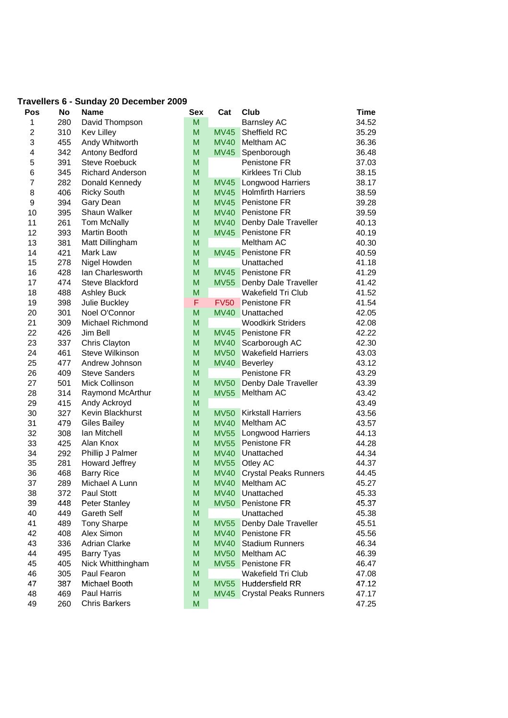| Travellers 6 - Sunday 20 December 2009 |           |                         |            |             |                              |       |
|----------------------------------------|-----------|-------------------------|------------|-------------|------------------------------|-------|
| Pos                                    | <b>No</b> | <b>Name</b>             | <b>Sex</b> | Cat         | Club                         | Time  |
| 1                                      | 280       | David Thompson          | M          |             | <b>Barnsley AC</b>           | 34.52 |
| 2                                      | 310       | <b>Kev Lilley</b>       | M          | <b>MV45</b> | Sheffield RC                 | 35.29 |
| 3                                      | 455       | Andy Whitworth          | M          | <b>MV40</b> | Meltham AC                   | 36.36 |
| 4                                      | 342       | Antony Bedford          | M          | <b>MV45</b> | Spenborough                  | 36.48 |
| 5                                      | 391       | <b>Steve Roebuck</b>    | M          |             | Penistone FR                 | 37.03 |
| 6                                      | 345       | <b>Richard Anderson</b> | M          |             | Kirklees Tri Club            | 38.15 |
| $\overline{7}$                         | 282       | Donald Kennedy          | M          | <b>MV45</b> | <b>Longwood Harriers</b>     | 38.17 |
| 8                                      | 406       | <b>Ricky South</b>      | M          | <b>MV45</b> | <b>Holmfirth Harriers</b>    | 38.59 |
| 9                                      | 394       | Gary Dean               | M          | <b>MV45</b> | Penistone FR                 | 39.28 |
| 10                                     | 395       | Shaun Walker            | M          | <b>MV40</b> | <b>Penistone FR</b>          | 39.59 |
| 11                                     | 261       | <b>Tom McNally</b>      | M          | <b>MV40</b> | Denby Dale Traveller         | 40.13 |
| 12                                     | 393       | <b>Martin Booth</b>     | M          | <b>MV45</b> | <b>Penistone FR</b>          | 40.19 |
| 13                                     | 381       | Matt Dillingham         | M          |             | Meltham AC                   | 40.30 |
| 14                                     | 421       | Mark Law                | M          | <b>MV45</b> | Penistone FR                 | 40.59 |
| 15                                     | 278       | Nigel Howden            | M          |             | Unattached                   | 41.18 |
| 16                                     | 428       | Ian Charlesworth        | M          | <b>MV45</b> | <b>Penistone FR</b>          | 41.29 |
| 17                                     | 474       | Steve Blackford         | M          | <b>MV55</b> | Denby Dale Traveller         | 41.42 |
| 18                                     | 488       | <b>Ashley Buck</b>      | M          |             | Wakefield Tri Club           | 41.52 |
| 19                                     | 398       | Julie Buckley           | F          | <b>FV50</b> | Penistone FR                 | 41.54 |
| 20                                     | 301       | Noel O'Connor           | M          | <b>MV40</b> | Unattached                   | 42.05 |
| 21                                     | 309       | Michael Richmond        | M          |             | <b>Woodkirk Striders</b>     | 42.08 |
| 22                                     | 426       | Jim Bell                | M          | <b>MV45</b> | <b>Penistone FR</b>          | 42.22 |
| 23                                     | 337       | Chris Clayton           | M          | <b>MV40</b> | Scarborough AC               | 42.30 |
| 24                                     | 461       | <b>Steve Wilkinson</b>  | M          | <b>MV50</b> | <b>Wakefield Harriers</b>    | 43.03 |
| 25                                     | 477       | Andrew Johnson          | M          | <b>MV40</b> | Beverley                     | 43.12 |
| 26                                     | 409       | <b>Steve Sanders</b>    | M          |             | Penistone FR                 | 43.29 |
| 27                                     | 501       | Mick Collinson          | M          | <b>MV50</b> | Denby Dale Traveller         | 43.39 |
| 28                                     | 314       | Raymond McArthur        | M          | <b>MV55</b> | Meltham AC                   | 43.42 |
| 29                                     | 415       | Andy Ackroyd            | M          |             |                              | 43.49 |
| 30                                     | 327       | Kevin Blackhurst        | M          | <b>MV50</b> | <b>Kirkstall Harriers</b>    | 43.56 |
| 31                                     | 479       | <b>Giles Bailey</b>     | M          | <b>MV40</b> | <b>Meltham AC</b>            | 43.57 |
| 32                                     | 308       | Ian Mitchell            | M          | <b>MV55</b> | <b>Longwood Harriers</b>     | 44.13 |
| 33                                     | 425       | Alan Knox               | M          | <b>MV55</b> | Penistone FR                 | 44.28 |
| 34                                     | 292       | Phillip J Palmer        | M          | <b>MV40</b> | Unattached                   | 44.34 |
| 35                                     | 281       | Howard Jeffrey          | M          | <b>MV55</b> | Otley AC                     | 44.37 |
| 36                                     | 468       | <b>Barry Rice</b>       | M          | <b>MV40</b> | <b>Crystal Peaks Runners</b> | 44.45 |
| 37                                     | 289       | Michael A Lunn          | M          | <b>MV40</b> | Meltham AC                   | 45.27 |
| 38                                     | 372       | Paul Stott              | M          | <b>MV40</b> | Unattached                   | 45.33 |
| 39                                     | 448       | <b>Peter Stanley</b>    | M          | <b>MV50</b> | Penistone FR                 | 45.37 |
| 40                                     | 449       | <b>Gareth Self</b>      | M          |             | Unattached                   | 45.38 |
| 41                                     | 489       | <b>Tony Sharpe</b>      | M          | <b>MV55</b> | Denby Dale Traveller         | 45.51 |
| 42                                     | 408       | Alex Simon              | M          | <b>MV40</b> | Penistone FR                 | 45.56 |
| 43                                     | 336       | <b>Adrian Clarke</b>    | M          | <b>MV40</b> | <b>Stadium Runners</b>       | 46.34 |
| 44                                     | 495       | <b>Barry Tyas</b>       | M          | <b>MV50</b> | Meltham AC                   | 46.39 |
| 45                                     | 405       | Nick Whitthingham       | M          | <b>MV55</b> | Penistone FR                 | 46.47 |
| 46                                     | 305       | Paul Fearon             | M          |             | Wakefield Tri Club           | 47.08 |
| 47                                     | 387       | Michael Booth           | M          | <b>MV55</b> | <b>Huddersfield RR</b>       | 47.12 |
| 48                                     | 469       | Paul Harris             | M          | <b>MV45</b> | <b>Crystal Peaks Runners</b> | 47.17 |
| 49                                     | 260       | <b>Chris Barkers</b>    | M          |             |                              | 47.25 |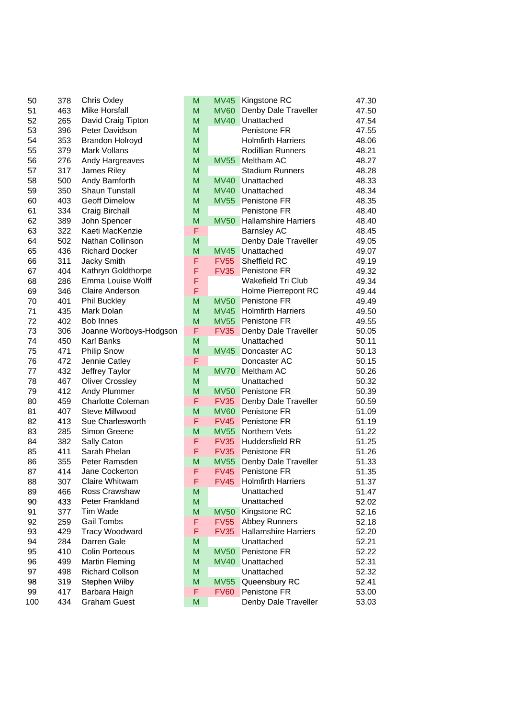| 50  | 378 | <b>Chris Oxley</b>       |
|-----|-----|--------------------------|
| 51  | 463 | <b>Mike Horsfall</b>     |
| 52  | 265 | David Craig Tipton       |
| 53  | 396 | Peter Davidson           |
| 54  | 353 | <b>Brandon Holroyd</b>   |
| 55  | 379 | Mark Vollans             |
| 56  | 276 | Andy Hargreaves          |
| 57  | 317 | James Riley              |
| 58  | 500 | Andy Bamforth            |
| 59  | 350 | <b>Shaun Tunstall</b>    |
| 60  | 403 | <b>Geoff Dimelow</b>     |
| 61  | 334 | <b>Craig Birchall</b>    |
| 62  | 389 | John Spencer             |
| 63  | 322 | Kaeti MacKenzie          |
| 64  | 502 | Nathan Collinson         |
| 65  | 436 | <b>Richard Docker</b>    |
| 66  | 311 | Jacky Smith              |
| 67  | 404 | Kathryn Goldthorpe       |
| 68  | 286 | Emma Louise Wolff        |
|     | 346 | <b>Claire Anderson</b>   |
| 69  |     |                          |
| 70  | 401 | <b>Phil Buckley</b>      |
| 71  | 435 | Mark Dolan               |
| 72  | 402 | <b>Bob Innes</b>         |
| 73  | 306 | Joanne Worboys-Hodg      |
| 74  | 450 | Karl Banks               |
| 75  | 471 | <b>Philip Snow</b>       |
| 76  | 472 | Jennie Catley            |
| 77  | 432 | Jeffrey Taylor           |
| 78  | 467 | <b>Oliver Crossley</b>   |
| 79  | 412 | Andy Plummer             |
| 80  | 459 | <b>Charlotte Coleman</b> |
| 81  | 407 | <b>Steve Millwood</b>    |
| 82  | 413 | Sue Charlesworth         |
| 83  | 285 | Simon Greene             |
| 84  | 382 | Sally Caton              |
| 85  | 411 | Sarah Phelan             |
| 86  | 355 | Peter Ramsden            |
| 87  | 414 | Jane Cockerton           |
| 88  | 307 | <b>Claire Whitwam</b>    |
| 89  | 466 | Ross Crawshaw            |
| 90  | 433 | Peter Frankland          |
| 91  | 377 | Tim Wade                 |
| 92  | 259 | <b>Gail Tombs</b>        |
| 93  | 429 | <b>Tracy Woodward</b>    |
| 94  | 284 | Darren Gale              |
| 95  | 410 | Colin Porteous           |
| 96  | 499 | <b>Martin Fleming</b>    |
| 97  | 498 | <b>Richard Collson</b>   |
| 98  | 319 | Stephen Wilby            |
| 99  | 417 | Barbara Haigh            |
| 100 | 434 | <b>Graham Guest</b>      |

| 50  | 378 | <b>Chris Oxley</b>       | M | MV45        | <b>Kingstone RC</b>         | 47.30 |
|-----|-----|--------------------------|---|-------------|-----------------------------|-------|
| 51  | 463 | Mike Horsfall            | M | <b>MV60</b> | Denby Dale Traveller        | 47.50 |
| 52  | 265 | David Craig Tipton       | M | <b>MV40</b> | Unattached                  | 47.54 |
| 53  | 396 | Peter Davidson           | M |             | Penistone FR                | 47.55 |
| 54  | 353 | <b>Brandon Holroyd</b>   | M |             | <b>Holmfirth Harriers</b>   | 48.06 |
| 55  | 379 | Mark Vollans             | M |             | <b>Rodillian Runners</b>    | 48.21 |
| 56  | 276 | Andy Hargreaves          | M | <b>MV55</b> | Meltham AC                  | 48.27 |
| 57  | 317 | James Riley              | M |             | <b>Stadium Runners</b>      | 48.28 |
| 58  | 500 | Andy Bamforth            | M | <b>MV40</b> | Unattached                  | 48.33 |
| 59  | 350 | Shaun Tunstall           | M | <b>MV40</b> | Unattached                  | 48.34 |
| 60  | 403 | <b>Geoff Dimelow</b>     | M | <b>MV55</b> | <b>Penistone FR</b>         | 48.35 |
| 61  | 334 | Craig Birchall           | M |             | Penistone FR                | 48.40 |
| 62  | 389 | John Spencer             | M | <b>MV50</b> | <b>Hallamshire Harriers</b> | 48.40 |
| 63  | 322 | Kaeti MacKenzie          | F |             | <b>Barnsley AC</b>          | 48.45 |
| 64  | 502 | Nathan Collinson         | M |             | Denby Dale Traveller        | 49.05 |
| 65  | 436 | <b>Richard Docker</b>    | M | <b>MV45</b> | Unattached                  | 49.07 |
| 66  | 311 | Jacky Smith              | F | <b>FV55</b> | Sheffield RC                | 49.19 |
| 67  | 404 | Kathryn Goldthorpe       | F | <b>FV35</b> | Penistone FR                | 49.32 |
| 68  | 286 | Emma Louise Wolff        | F |             | <b>Wakefield Tri Club</b>   | 49.34 |
| 69  | 346 | <b>Claire Anderson</b>   | F |             | Holme Pierrepont RC         | 49.44 |
| 70  | 401 | <b>Phil Buckley</b>      | M | <b>MV50</b> | Penistone FR                | 49.49 |
| 71  | 435 | Mark Dolan               | M | <b>MV45</b> | <b>Holmfirth Harriers</b>   | 49.50 |
| 72  | 402 | <b>Bob Innes</b>         | M | <b>MV55</b> | <b>Penistone FR</b>         | 49.55 |
| 73  | 306 | Joanne Worboys-Hodgson   | F | <b>FV35</b> | Denby Dale Traveller        | 50.05 |
| 74  | 450 | Karl Banks               | M |             | Unattached                  | 50.11 |
| 75  | 471 | <b>Philip Snow</b>       | M | <b>MV45</b> | Doncaster AC                | 50.13 |
| 76  | 472 | Jennie Catley            | F |             | Doncaster AC                | 50.15 |
| 77  | 432 | Jeffrey Taylor           | M | <b>MV70</b> | Meltham AC                  | 50.26 |
| 78  | 467 | <b>Oliver Crossley</b>   | M |             | Unattached                  | 50.32 |
| 79  | 412 | Andy Plummer             | M | <b>MV50</b> | Penistone FR                | 50.39 |
| 80  | 459 | <b>Charlotte Coleman</b> | F | <b>FV35</b> | Denby Dale Traveller        | 50.59 |
| 81  | 407 | Steve Millwood           | M | <b>MV60</b> | Penistone FR                | 51.09 |
| 82  | 413 | Sue Charlesworth         | F | <b>FV45</b> | Penistone FR                | 51.19 |
| 83  | 285 | Simon Greene             | M | <b>MV55</b> | Northern Vets               | 51.22 |
| 84  | 382 | Sally Caton              | F | <b>FV35</b> | <b>Huddersfield RR</b>      | 51.25 |
| 85  | 411 | Sarah Phelan             | F | <b>FV35</b> | Penistone FR                | 51.26 |
| 86  | 355 | Peter Ramsden            | M | <b>MV55</b> | Denby Dale Traveller        | 51.33 |
| 87  | 414 | Jane Cockerton           | F | <b>FV45</b> | Penistone FR                | 51.35 |
| 88  | 307 | Claire Whitwam           | F | <b>FV45</b> | <b>Holmfirth Harriers</b>   | 51.37 |
| 89  | 466 | Ross Crawshaw            | M |             | Unattached                  | 51.47 |
| 90  | 433 | Peter Frankland          | M |             | Unattached                  | 52.02 |
| 91  | 377 | Tim Wade                 | M | <b>MV50</b> | Kingstone RC                | 52.16 |
| 92  | 259 | Gail Tombs               | F | <b>FV55</b> | <b>Abbey Runners</b>        | 52.18 |
| 93  | 429 | <b>Tracy Woodward</b>    | F | <b>FV35</b> | <b>Hallamshire Harriers</b> | 52.20 |
| 94  | 284 | Darren Gale              | M |             | Unattached                  | 52.21 |
| 95  | 410 | <b>Colin Porteous</b>    | M | <b>MV50</b> | Penistone FR                | 52.22 |
| 96  | 499 | <b>Martin Fleming</b>    | M | <b>MV40</b> | Unattached                  | 52.31 |
| 97  | 498 | <b>Richard Collson</b>   | M |             | Unattached                  | 52.32 |
| 98  | 319 | Stephen Wilby            | M | <b>MV55</b> | Queensbury RC               | 52.41 |
| 99  | 417 | Barbara Haigh            | F | <b>FV60</b> | Penistone FR                | 53.00 |
| 100 | 434 | <b>Graham Guest</b>      | M |             | Denby Dale Traveller        | 53.03 |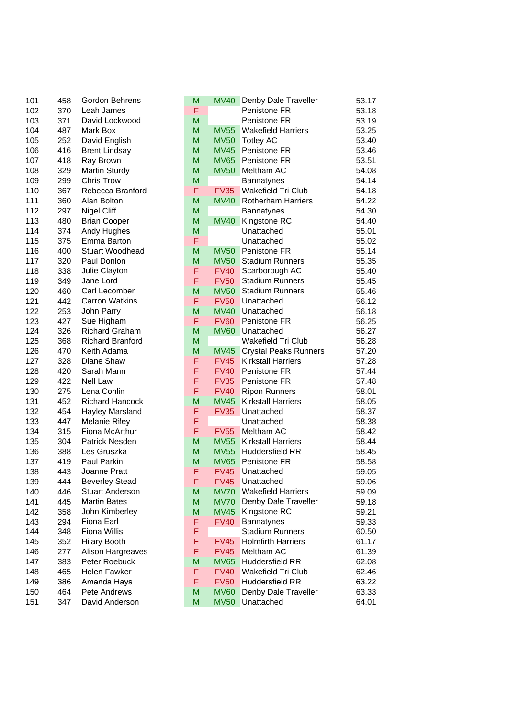| 101 | 458        | Gordon Behrens          |
|-----|------------|-------------------------|
| 102 | 370        | Leah James              |
| 103 | 371        | David Lockwood          |
| 104 | 487        | Mark Box                |
| 105 | 252        | David English           |
| 106 | 416        | <b>Brent Lindsay</b>    |
| 107 | 418        | Ray Brown               |
| 108 | 329        | <b>Martin Sturdy</b>    |
| 109 | 299        | <b>Chris Trow</b>       |
| 110 | 367        | Rebecca Branford        |
| 111 | 360        | Alan Bolton             |
| 112 | 297        | <b>Nigel Cliff</b>      |
| 113 | 480        | <b>Brian Cooper</b>     |
| 114 | 374        | Andy Hughes             |
| 115 | 375        | Emma Barton             |
|     |            | <b>Stuart Woodhead</b>  |
| 116 | 400        |                         |
| 117 | 320        | Paul Donlon             |
| 118 | 338        | Julie Clayton           |
| 119 | 349        | Jane Lord               |
| 120 | 460        | Carl Lecomber           |
| 121 | 442        | <b>Carron Watkins</b>   |
| 122 | 253        | John Parry              |
| 123 | 427        | Sue Higham              |
| 124 | 326        | <b>Richard Graham</b>   |
| 125 | 368        | <b>Richard Branford</b> |
| 126 | 470        | Keith Adama             |
| 127 | 328        | Diane Shaw              |
| 128 | 420        | Sarah Mann              |
| 129 | 422        | <b>Nell Law</b>         |
| 130 | 275        | Lena Conlin             |
| 131 | 452        | <b>Richard Hancock</b>  |
| 132 | 454        | Hayley Marsland         |
| 133 | 447        | <b>Melanie Riley</b>    |
| 134 | 315        | Fiona McArthur          |
| 135 | 304        | <b>Patrick Nesden</b>   |
| 136 | 388        | Les Gruszka             |
| 137 | 419        | Paul Parkin             |
| 138 | 443        | Joanne Pratt            |
| 139 | 444        | <b>Beverley Stead</b>   |
| 140 | 446        | <b>Stuart Anderson</b>  |
| 141 | 445        | <b>Martin Bates</b>     |
| 142 | 358        | John Kimberley          |
| 143 | 294        | Fiona Earl              |
| 144 | 348        | <b>Fiona Willis</b>     |
| 145 | 352        | <b>Hilary Booth</b>     |
| 146 | 277        | Alison Hargreaves       |
| 147 |            | Peter Roebuck           |
|     | 383<br>465 | <b>Helen Fawker</b>     |
| 148 |            |                         |
| 149 | 386        | Amanda Hays             |
| 150 | 464        | Pete Andrews            |
| 151 | 347        | David Anderson          |

| 101 | 458 | Gordon Behrens          | M |             | MV40 Denby Dale Traveller    | 53.17 |
|-----|-----|-------------------------|---|-------------|------------------------------|-------|
| 102 | 370 | Leah James              | F |             | Penistone FR                 | 53.18 |
| 103 | 371 | David Lockwood          | M |             | Penistone FR                 | 53.19 |
| 104 | 487 | Mark Box                | M | <b>MV55</b> | <b>Wakefield Harriers</b>    | 53.25 |
| 105 | 252 | David English           | M | <b>MV50</b> | <b>Totley AC</b>             | 53.40 |
| 106 | 416 | <b>Brent Lindsay</b>    | M | <b>MV45</b> | <b>Penistone FR</b>          | 53.46 |
| 107 | 418 | Ray Brown               | M | <b>MV65</b> | <b>Penistone FR</b>          | 53.51 |
| 108 | 329 | <b>Martin Sturdy</b>    | M |             | MV50 Meltham AC              | 54.08 |
| 109 | 299 | <b>Chris Trow</b>       | M |             | <b>Bannatynes</b>            | 54.14 |
| 110 | 367 | Rebecca Branford        | F | <b>FV35</b> | Wakefield Tri Club           | 54.18 |
| 111 | 360 | Alan Bolton             | M | <b>MV40</b> | <b>Rotherham Harriers</b>    | 54.22 |
| 112 | 297 | <b>Nigel Cliff</b>      | M |             | Bannatynes                   | 54.30 |
| 113 | 480 | <b>Brian Cooper</b>     | M | <b>MV40</b> | Kingstone RC                 | 54.40 |
| 114 | 374 | Andy Hughes             | M |             | Unattached                   | 55.01 |
| 115 | 375 | Emma Barton             | F |             | Unattached                   | 55.02 |
| 116 | 400 | <b>Stuart Woodhead</b>  | M | <b>MV50</b> | <b>Penistone FR</b>          | 55.14 |
| 117 | 320 | Paul Donlon             | M | <b>MV50</b> | <b>Stadium Runners</b>       | 55.35 |
| 118 | 338 | Julie Clayton           | F | <b>FV40</b> | Scarborough AC               | 55.40 |
| 119 | 349 | Jane Lord               | F | <b>FV50</b> | <b>Stadium Runners</b>       | 55.45 |
| 120 | 460 | Carl Lecomber           | M | <b>MV50</b> | <b>Stadium Runners</b>       | 55.46 |
| 121 | 442 | <b>Carron Watkins</b>   | F | <b>FV50</b> | Unattached                   | 56.12 |
| 122 | 253 | John Parry              | M | <b>MV40</b> | Unattached                   | 56.18 |
| 123 | 427 | Sue Higham              | F | <b>FV60</b> | <b>Penistone FR</b>          | 56.25 |
| 124 | 326 | <b>Richard Graham</b>   | M |             | MV60 Unattached              | 56.27 |
| 125 | 368 | <b>Richard Branford</b> | M |             | <b>Wakefield Tri Club</b>    | 56.28 |
| 126 | 470 | Keith Adama             | M | <b>MV45</b> | <b>Crystal Peaks Runners</b> | 57.20 |
| 127 | 328 | Diane Shaw              | F | FV45        | <b>Kirkstall Harriers</b>    | 57.28 |
| 128 | 420 | Sarah Mann              | F | <b>FV40</b> | <b>Penistone FR</b>          | 57.44 |
| 129 | 422 | <b>Nell Law</b>         | F | <b>FV35</b> | <b>Penistone FR</b>          | 57.48 |
| 130 | 275 | Lena Conlin             | F | <b>FV40</b> | <b>Ripon Runners</b>         | 58.01 |
| 131 | 452 | <b>Richard Hancock</b>  | M | <b>MV45</b> | <b>Kirkstall Harriers</b>    | 58.05 |
| 132 | 454 | Hayley Marsland         | F | <b>FV35</b> | Unattached                   | 58.37 |
| 133 | 447 | <b>Melanie Riley</b>    | F |             | Unattached                   | 58.38 |
| 134 | 315 | Fiona McArthur          | F | <b>FV55</b> | Meltham AC                   | 58.42 |
| 135 | 304 | Patrick Nesden          | M | <b>MV55</b> | <b>Kirkstall Harriers</b>    | 58.44 |
| 136 | 388 | Les Gruszka             | M | <b>MV55</b> | <b>Huddersfield RR</b>       | 58.45 |
| 137 | 419 | Paul Parkin             | M | <b>MV65</b> | <b>Penistone FR</b>          | 58.58 |
| 138 | 443 | Joanne Pratt            | F | <b>FV45</b> | Unattached                   | 59.05 |
| 139 | 444 | <b>Beverley Stead</b>   | F | <b>FV45</b> | Unattached                   | 59.06 |
| 140 | 446 | <b>Stuart Anderson</b>  | М | <b>MV70</b> | <b>Wakefield Harriers</b>    | 59.09 |
| 141 | 445 | <b>Martin Bates</b>     | M | <b>MV70</b> | Denby Dale Traveller         | 59.18 |
| 142 | 358 | John Kimberley          | M | <b>MV45</b> | Kingstone RC                 | 59.21 |
| 143 | 294 | Fiona Earl              | F | <b>FV40</b> | Bannatynes                   | 59.33 |
| 144 | 348 | <b>Fiona Willis</b>     | F |             | <b>Stadium Runners</b>       | 60.50 |
| 145 | 352 | <b>Hilary Booth</b>     | F | <b>FV45</b> | <b>Holmfirth Harriers</b>    | 61.17 |
| 146 | 277 | Alison Hargreaves       | F | <b>FV45</b> | Meltham AC                   | 61.39 |
| 147 | 383 | Peter Roebuck           | M | <b>MV65</b> | <b>Huddersfield RR</b>       | 62.08 |
| 148 | 465 | Helen Fawker            | F | <b>FV40</b> | Wakefield Tri Club           | 62.46 |
| 149 | 386 | Amanda Hays             | F | <b>FV50</b> | Huddersfield RR              | 63.22 |
| 150 | 464 | Pete Andrews            | M | <b>MV60</b> | Denby Dale Traveller         | 63.33 |
| 151 | 347 | David Anderson          | M | <b>MV50</b> | Unattached                   | 64.01 |
|     |     |                         |   |             |                              |       |